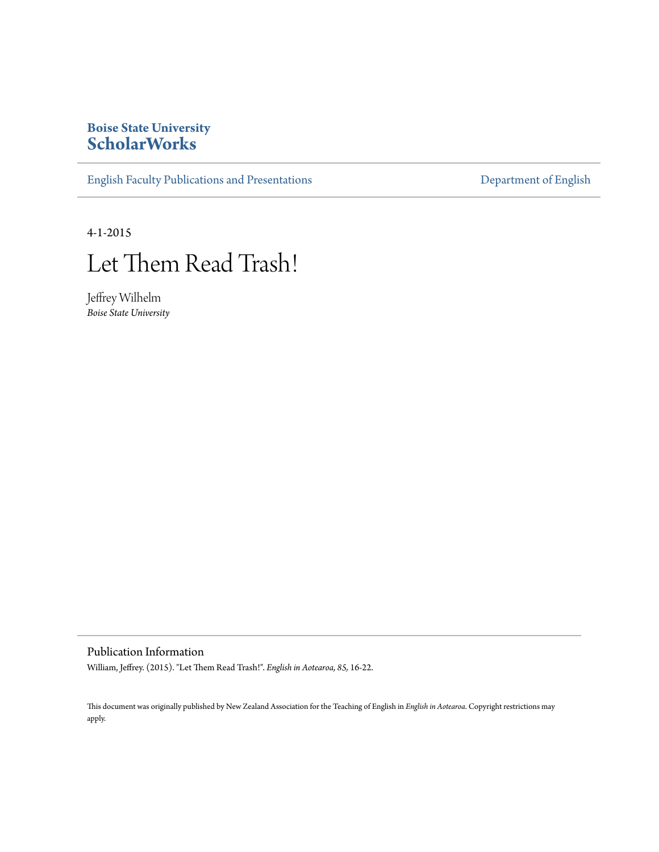# **Boise State University [ScholarWorks](https://scholarworks.boisestate.edu)**

[English Faculty Publications and Presentations](https://scholarworks.boisestate.edu/english_facpubs) **[Department of English](https://scholarworks.boisestate.edu/english)** 

4-1-2015



Jeffrey Wilhelm *Boise State University*

Publication Information

William, Jeffrey. (2015). "Let Them Read Trash!". *English in Aotearoa, 85,* 16-22.

This document was originally published by New Zealand Association for the Teaching of English in *English in Aotearoa*. Copyright restrictions may apply.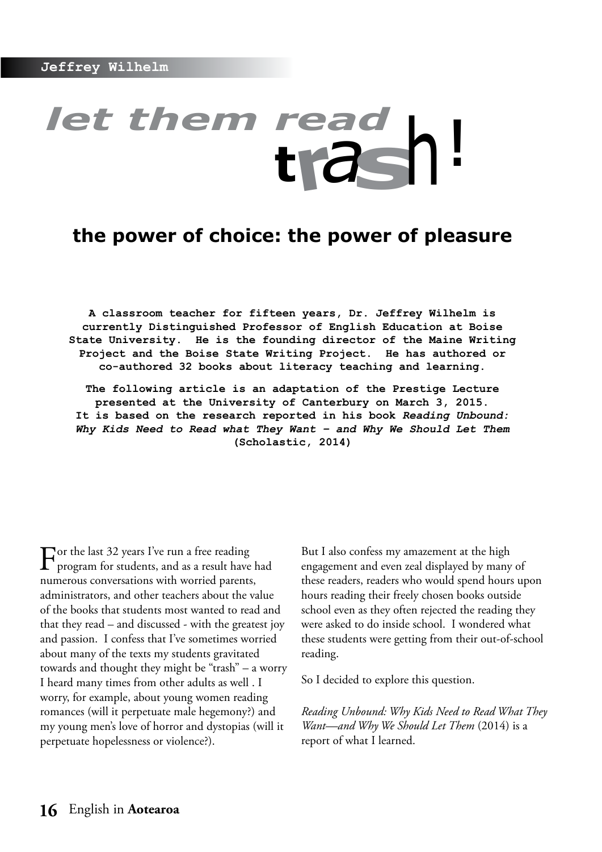# *let them read*  **<sup>t</sup>r***<sup>a</sup>***s**<sup>h</sup>**!**

# **the power of choice: the power of pleasure**

**A classroom teacher for fifteen years, Dr. Jeffrey Wilhelm is currently Distinguished Professor of English Education at Boise State University. He is the founding director of the Maine Writing Project and the Boise State Writing Project. He has authored or co-authored 32 books about literacy teaching and learning.**

**The following article is an adaptation of the Prestige Lecture presented at the University of Canterbury on March 3, 2015. It is based on the research reported in his book** *Reading Unbound: Why Kids Need to Read what They Want – and Why We Should Let Them* **(Scholastic, 2014)**

For the last 32 years I've run a free reading program for students, and as a result have had numerous conversations with worried parents, administrators, and other teachers about the value of the books that students most wanted to read and that they read – and discussed - with the greatest joy and passion. I confess that I've sometimes worried about many of the texts my students gravitated towards and thought they might be "trash" – a worry I heard many times from other adults as well . I worry, for example, about young women reading romances (will it perpetuate male hegemony?) and my young men's love of horror and dystopias (will it perpetuate hopelessness or violence?).

But I also confess my amazement at the high engagement and even zeal displayed by many of these readers, readers who would spend hours upon hours reading their freely chosen books outside school even as they often rejected the reading they were asked to do inside school. I wondered what these students were getting from their out-of-school reading.

So I decided to explore this question.

*Reading Unbound: Why Kids Need to Read What They Want—and Why We Should Let Them* (2014) is a report of what I learned.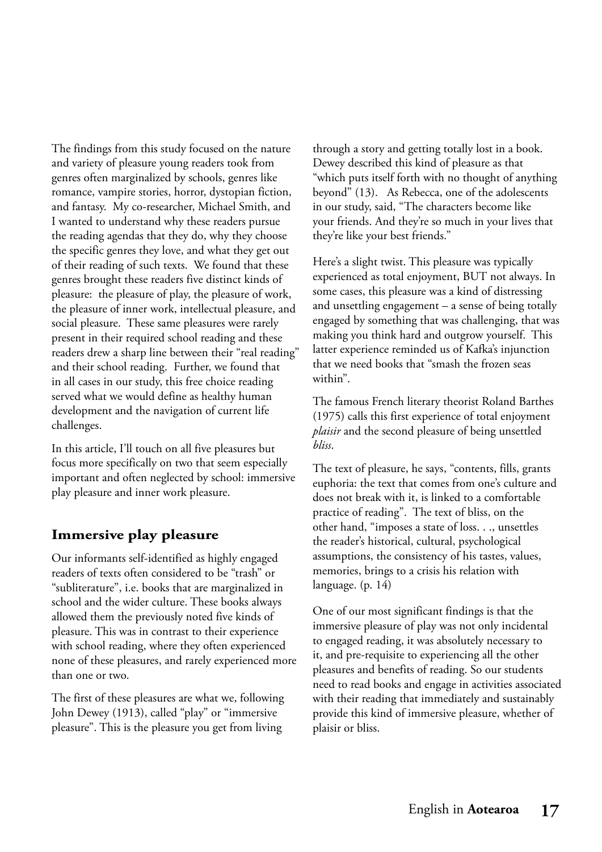The findings from this study focused on the nature and variety of pleasure young readers took from genres often marginalized by schools, genres like romance, vampire stories, horror, dystopian fiction, and fantasy. My co-researcher, Michael Smith, and I wanted to understand why these readers pursue the reading agendas that they do, why they choose the specific genres they love, and what they get out of their reading of such texts. We found that these genres brought these readers five distinct kinds of pleasure: the pleasure of play, the pleasure of work, the pleasure of inner work, intellectual pleasure, and social pleasure. These same pleasures were rarely present in their required school reading and these readers drew a sharp line between their "real reading" and their school reading. Further, we found that in all cases in our study, this free choice reading served what we would define as healthy human development and the navigation of current life challenges.

In this article, I'll touch on all five pleasures but focus more specifically on two that seem especially important and often neglected by school: immersive play pleasure and inner work pleasure.

# **Immersive play pleasure**

Our informants self-identified as highly engaged readers of texts often considered to be "trash" or "subliterature", i.e. books that are marginalized in school and the wider culture. These books always allowed them the previously noted five kinds of pleasure. This was in contrast to their experience with school reading, where they often experienced none of these pleasures, and rarely experienced more than one or two.

The first of these pleasures are what we, following John Dewey (1913), called "play" or "immersive pleasure". This is the pleasure you get from living

through a story and getting totally lost in a book. Dewey described this kind of pleasure as that "which puts itself forth with no thought of anything beyond" (13). As Rebecca, one of the adolescents in our study, said, "The characters become like your friends. And they're so much in your lives that they're like your best friends."

Here's a slight twist. This pleasure was typically experienced as total enjoyment, BUT not always. In some cases, this pleasure was a kind of distressing and unsettling engagement – a sense of being totally engaged by something that was challenging, that was making you think hard and outgrow yourself. This latter experience reminded us of Kafka's injunction that we need books that "smash the frozen seas within".

The famous French literary theorist Roland Barthes (1975) calls this first experience of total enjoyment *plaisir* and the second pleasure of being unsettled *bliss*.

The text of pleasure, he says, "contents, fills, grants euphoria: the text that comes from one's culture and does not break with it, is linked to a comfortable practice of reading". The text of bliss, on the other hand, "imposes a state of loss. . ., unsettles the reader's historical, cultural, psychological assumptions, the consistency of his tastes, values, memories, brings to a crisis his relation with language. (p. 14)

One of our most significant findings is that the immersive pleasure of play was not only incidental to engaged reading, it was absolutely necessary to it, and pre-requisite to experiencing all the other pleasures and benefits of reading. So our students need to read books and engage in activities associated with their reading that immediately and sustainably provide this kind of immersive pleasure, whether of plaisir or bliss.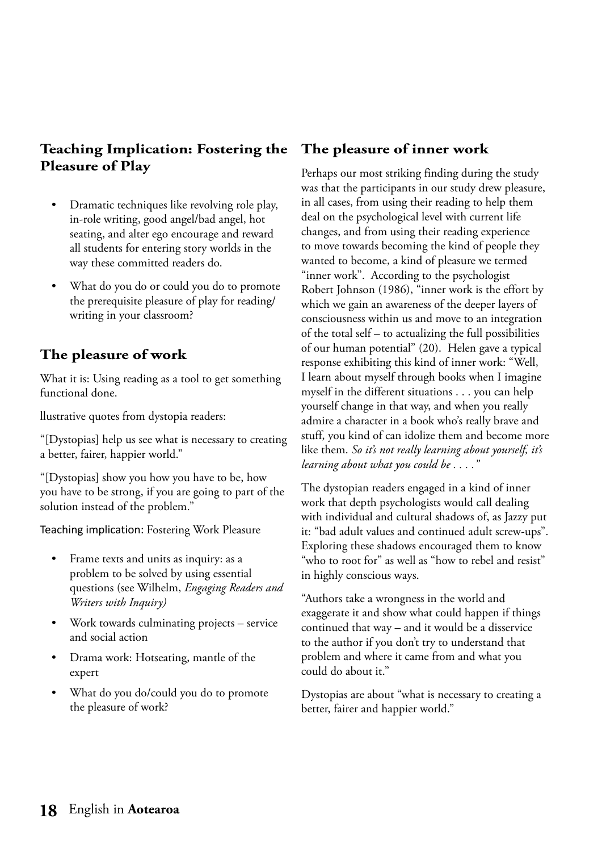# **Teaching Implication: Fostering the Pleasure of Play**

- Dramatic techniques like revolving role play, in-role writing, good angel/bad angel, hot seating, and alter ego encourage and reward all students for entering story worlds in the way these committed readers do.
- What do you do or could you do to promote the prerequisite pleasure of play for reading/ writing in your classroom?

# **The pleasure of work**

What it is: Using reading as a tool to get something functional done.

llustrative quotes from dystopia readers:

"[Dystopias] help us see what is necessary to creating a better, fairer, happier world."

"[Dystopias] show you how you have to be, how you have to be strong, if you are going to part of the solution instead of the problem."

Teaching implication: Fostering Work Pleasure

- Frame texts and units as inquiry: as a problem to be solved by using essential questions (see Wilhelm, *Engaging Readers and Writers with Inquiry)*
- Work towards culminating projects service and social action
- Drama work: Hotseating, mantle of the expert
- What do you do/could you do to promote the pleasure of work?

# **The pleasure of inner work**

Perhaps our most striking finding during the study was that the participants in our study drew pleasure, in all cases, from using their reading to help them deal on the psychological level with current life changes, and from using their reading experience to move towards becoming the kind of people they wanted to become, a kind of pleasure we termed "inner work". According to the psychologist Robert Johnson (1986), "inner work is the effort by which we gain an awareness of the deeper layers of consciousness within us and move to an integration of the total self – to actualizing the full possibilities of our human potential" (20). Helen gave a typical response exhibiting this kind of inner work: "Well, I learn about myself through books when I imagine myself in the different situations . . . you can help yourself change in that way, and when you really admire a character in a book who's really brave and stuff, you kind of can idolize them and become more like them. *So it's not really learning about yourself, it's learning about what you could be . . . ."*

The dystopian readers engaged in a kind of inner work that depth psychologists would call dealing with individual and cultural shadows of, as Jazzy put it: "bad adult values and continued adult screw-ups". Exploring these shadows encouraged them to know "who to root for" as well as "how to rebel and resist" in highly conscious ways.

"Authors take a wrongness in the world and exaggerate it and show what could happen if things continued that way – and it would be a disservice to the author if you don't try to understand that problem and where it came from and what you could do about it."

Dystopias are about "what is necessary to creating a better, fairer and happier world."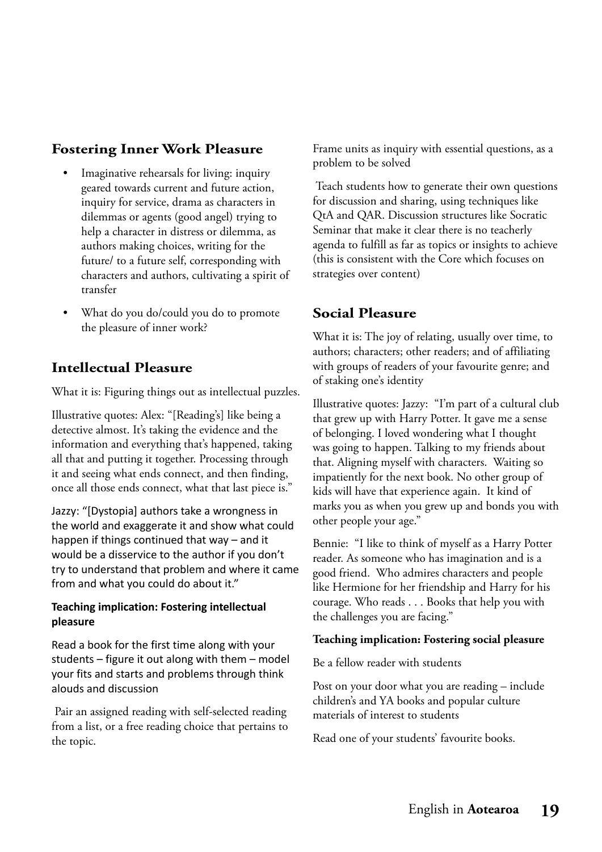# **Fostering Inner Work Pleasure**

- Imaginative rehearsals for living: inquiry geared towards current and future action, inquiry for service, drama as characters in dilemmas or agents (good angel) trying to help a character in distress or dilemma, as authors making choices, writing for the future/ to a future self, corresponding with characters and authors, cultivating a spirit of transfer
- What do you do/could you do to promote the pleasure of inner work?

# **Intellectual Pleasure**

What it is: Figuring things out as intellectual puzzles.

Illustrative quotes: Alex: "[Reading's] like being a detective almost. It's taking the evidence and the information and everything that's happened, taking all that and putting it together. Processing through it and seeing what ends connect, and then finding, once all those ends connect, what that last piece is."

Jazzy: "[Dystopia] authors take a wrongness in the world and exaggerate it and show what could happen if things continued that way – and it would be a disservice to the author if you don't try to understand that problem and where it came from and what you could do about it."

### **Teaching implication: Fostering intellectual pleasure**

Read a book for the first time along with your students – figure it out along with them – model your fits and starts and problems through think alouds and discussion

 Pair an assigned reading with self-selected reading from a list, or a free reading choice that pertains to the topic.

Frame units as inquiry with essential questions, as a problem to be solved

 Teach students how to generate their own questions for discussion and sharing, using techniques like QtA and QAR. Discussion structures like Socratic Seminar that make it clear there is no teacherly agenda to fulfill as far as topics or insights to achieve (this is consistent with the Core which focuses on strategies over content)

# **Social Pleasure**

What it is: The joy of relating, usually over time, to authors; characters; other readers; and of affiliating with groups of readers of your favourite genre; and of staking one's identity

Illustrative quotes: Jazzy: "I'm part of a cultural club that grew up with Harry Potter. It gave me a sense of belonging. I loved wondering what I thought was going to happen. Talking to my friends about that. Aligning myself with characters. Waiting so impatiently for the next book. No other group of kids will have that experience again. It kind of marks you as when you grew up and bonds you with other people your age."

Bennie: "I like to think of myself as a Harry Potter reader. As someone who has imagination and is a good friend. Who admires characters and people like Hermione for her friendship and Harry for his courage. Who reads . . . Books that help you with the challenges you are facing."

### **Teaching implication: Fostering social pleasure**

Be a fellow reader with students

Post on your door what you are reading – include children's and YA books and popular culture materials of interest to students

Read one of your students' favourite books.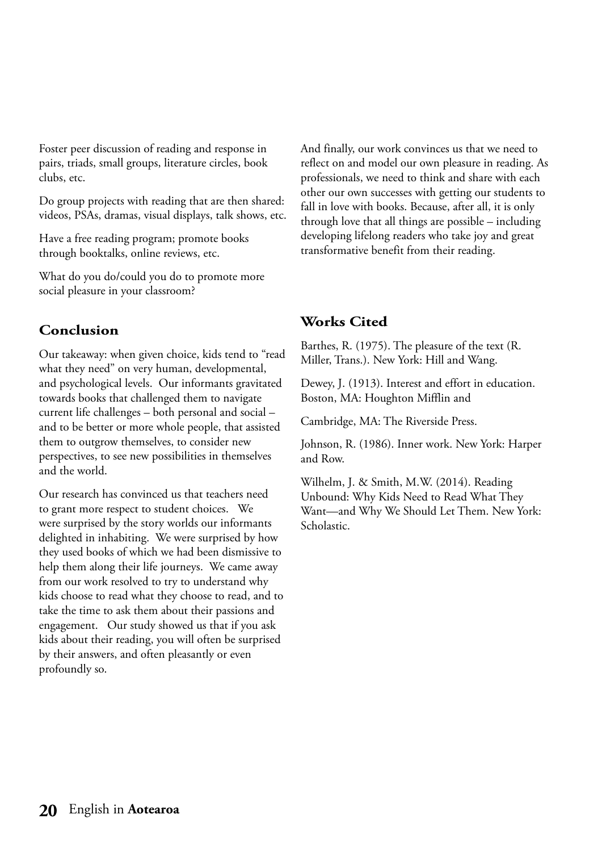Foster peer discussion of reading and response in pairs, triads, small groups, literature circles, book clubs, etc.

Do group projects with reading that are then shared: videos, PSAs, dramas, visual displays, talk shows, etc.

Have a free reading program; promote books through booktalks, online reviews, etc.

What do you do/could you do to promote more social pleasure in your classroom?

# **Conclusion**

Our takeaway: when given choice, kids tend to "read what they need" on very human, developmental, and psychological levels. Our informants gravitated towards books that challenged them to navigate current life challenges – both personal and social – and to be better or more whole people, that assisted them to outgrow themselves, to consider new perspectives, to see new possibilities in themselves and the world.

Our research has convinced us that teachers need to grant more respect to student choices. We were surprised by the story worlds our informants delighted in inhabiting. We were surprised by how they used books of which we had been dismissive to help them along their life journeys. We came away from our work resolved to try to understand why kids choose to read what they choose to read, and to take the time to ask them about their passions and engagement. Our study showed us that if you ask kids about their reading, you will often be surprised by their answers, and often pleasantly or even profoundly so.

And finally, our work convinces us that we need to reflect on and model our own pleasure in reading. As professionals, we need to think and share with each other our own successes with getting our students to fall in love with books. Because, after all, it is only through love that all things are possible – including developing lifelong readers who take joy and great transformative benefit from their reading.

### **Works Cited**

Barthes, R. (1975). The pleasure of the text (R. Miller, Trans.). New York: Hill and Wang.

Dewey, J. (1913). Interest and effort in education. Boston, MA: Houghton Mifflin and

Cambridge, MA: The Riverside Press.

Johnson, R. (1986). Inner work. New York: Harper and Row.

Wilhelm, J. & Smith, M.W. (2014). Reading Unbound: Why Kids Need to Read What They Want—and Why We Should Let Them. New York: Scholastic.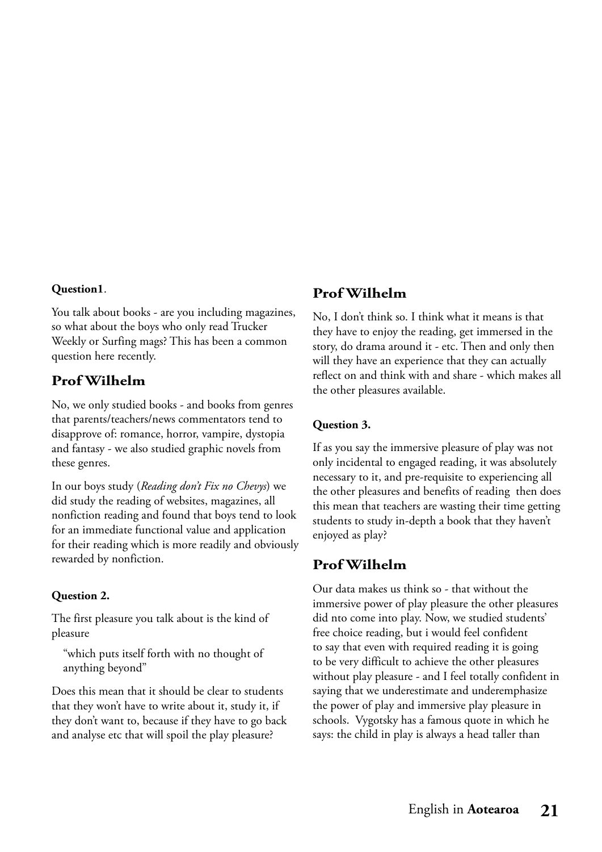### **Question1**.

You talk about books - are you including magazines, so what about the boys who only read Trucker Weekly or Surfing mags? This has been a common question here recently.

### **Prof Wilhelm**

No, we only studied books - and books from genres that parents/teachers/news commentators tend to disapprove of: romance, horror, vampire, dystopia and fantasy - we also studied graphic novels from these genres.

In our boys study (*Reading don't Fix no Chevys*) we did study the reading of websites, magazines, all nonfiction reading and found that boys tend to look for an immediate functional value and application for their reading which is more readily and obviously rewarded by nonfiction.

### **Question 2.**

The first pleasure you talk about is the kind of pleasure

"which puts itself forth with no thought of anything beyond"

Does this mean that it should be clear to students that they won't have to write about it, study it, if they don't want to, because if they have to go back and analyse etc that will spoil the play pleasure?

### **Prof Wilhelm**

No, I don't think so. I think what it means is that they have to enjoy the reading, get immersed in the story, do drama around it - etc. Then and only then will they have an experience that they can actually reflect on and think with and share - which makes all the other pleasures available.

### **Question 3.**

If as you say the immersive pleasure of play was not only incidental to engaged reading, it was absolutely necessary to it, and pre-requisite to experiencing all the other pleasures and benefits of reading then does this mean that teachers are wasting their time getting students to study in-depth a book that they haven't enjoyed as play?

### **Prof Wilhelm**

Our data makes us think so - that without the immersive power of play pleasure the other pleasures did nto come into play. Now, we studied students' free choice reading, but i would feel confident to say that even with required reading it is going to be very difficult to achieve the other pleasures without play pleasure - and I feel totally confident in saying that we underestimate and underemphasize the power of play and immersive play pleasure in schools. Vygotsky has a famous quote in which he says: the child in play is always a head taller than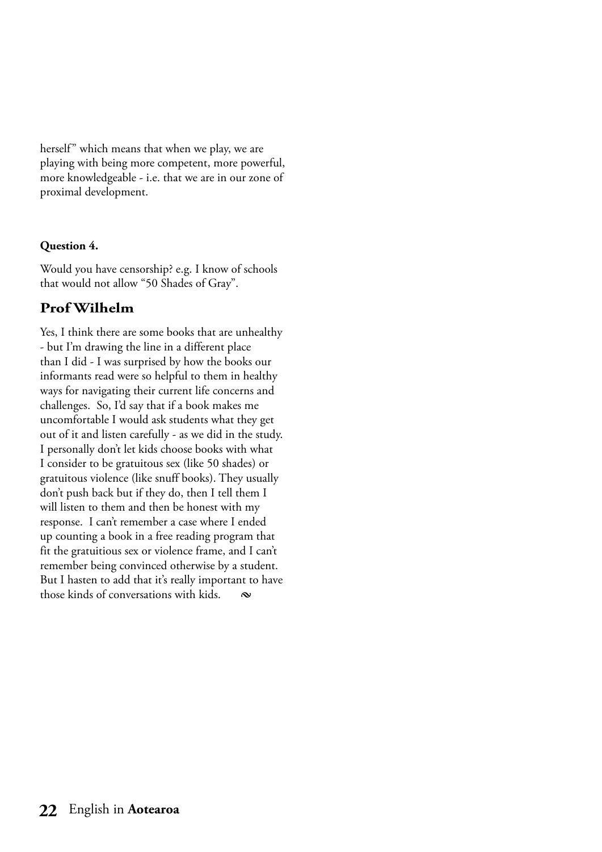herself" which means that when we play, we are playing with being more competent, more powerful, more knowledgeable - i.e. that we are in our zone of proximal development.

### **Question 4.**

Would you have censorship? e.g. I know of schools that would not allow "50 Shades of Gray".

# **Prof Wilhelm**

Yes, I think there are some books that are unhealthy - but I'm drawing the line in a different place than I did - I was surprised by how the books our informants read were so helpful to them in healthy ways for navigating their current life concerns and challenges. So, I'd say that if a book makes me uncomfortable I would ask students what they get out of it and listen carefully - as we did in the study. I personally don't let kids choose books with what I consider to be gratuitous sex (like 50 shades) or gratuitous violence (like snuff books). They usually don't push back but if they do, then I tell them I will listen to them and then be honest with my response. I can't remember a case where I ended up counting a book in a free reading program that fit the gratuitious sex or violence frame, and I can't remember being convinced otherwise by a student. But I hasten to add that it's really important to have those kinds of conversations with kids. **§**